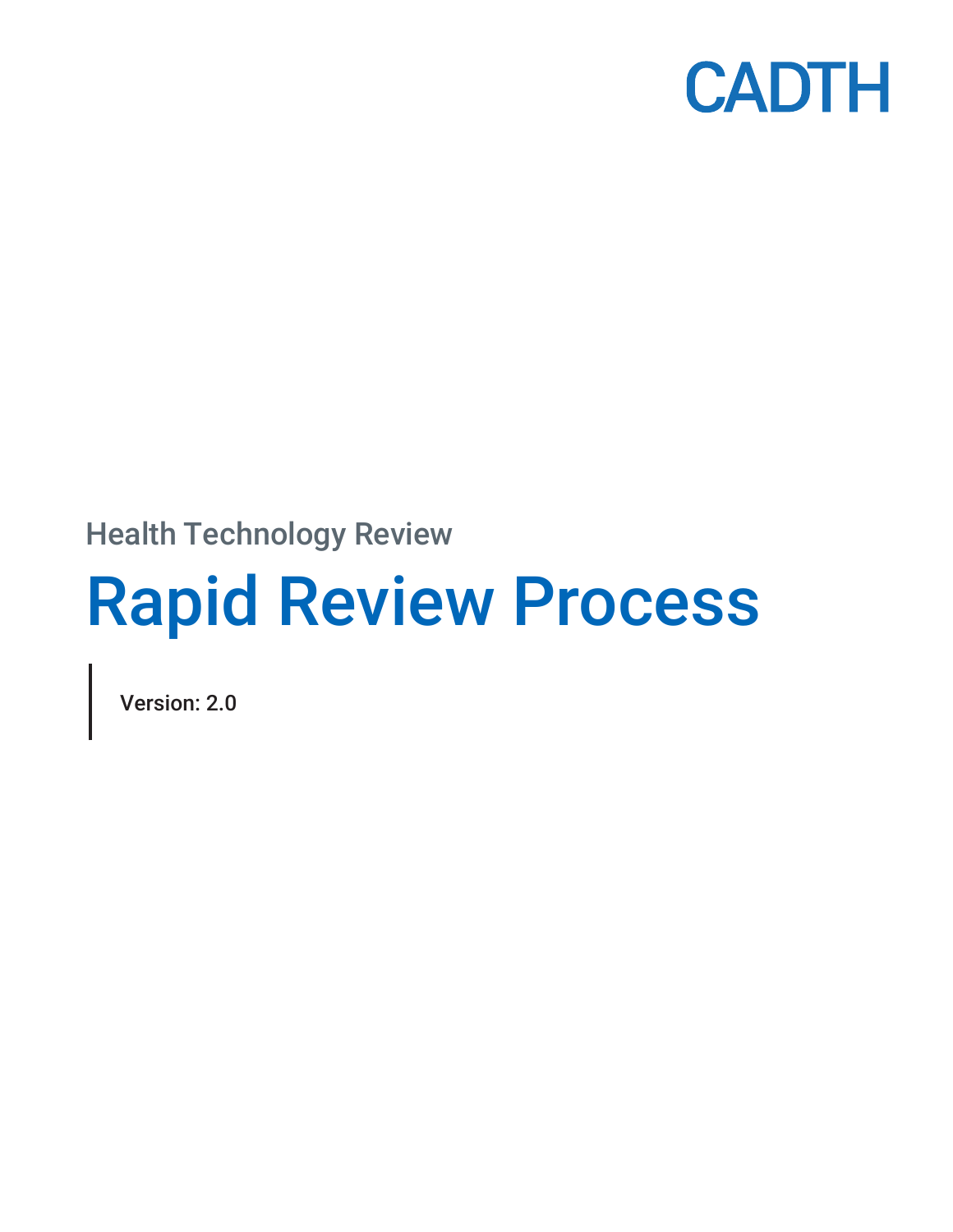

Health Technology Review

# Rapid Review Process

Version: 2.0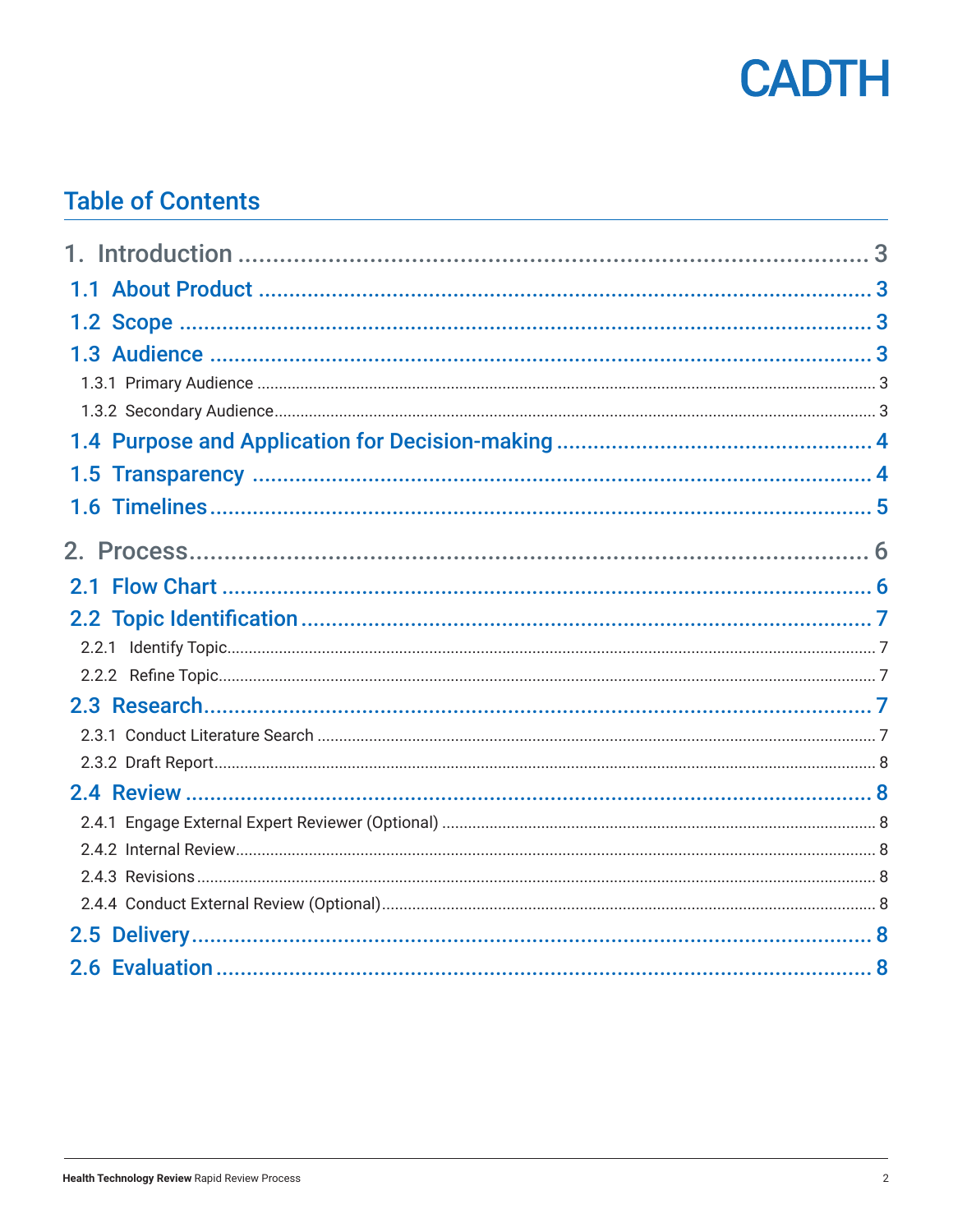

## **Table of Contents**

| 1.5 |  |
|-----|--|
| 1.6 |  |
|     |  |
|     |  |
|     |  |
|     |  |
|     |  |
|     |  |
|     |  |
|     |  |
|     |  |
|     |  |
|     |  |
|     |  |
|     |  |
|     |  |
|     |  |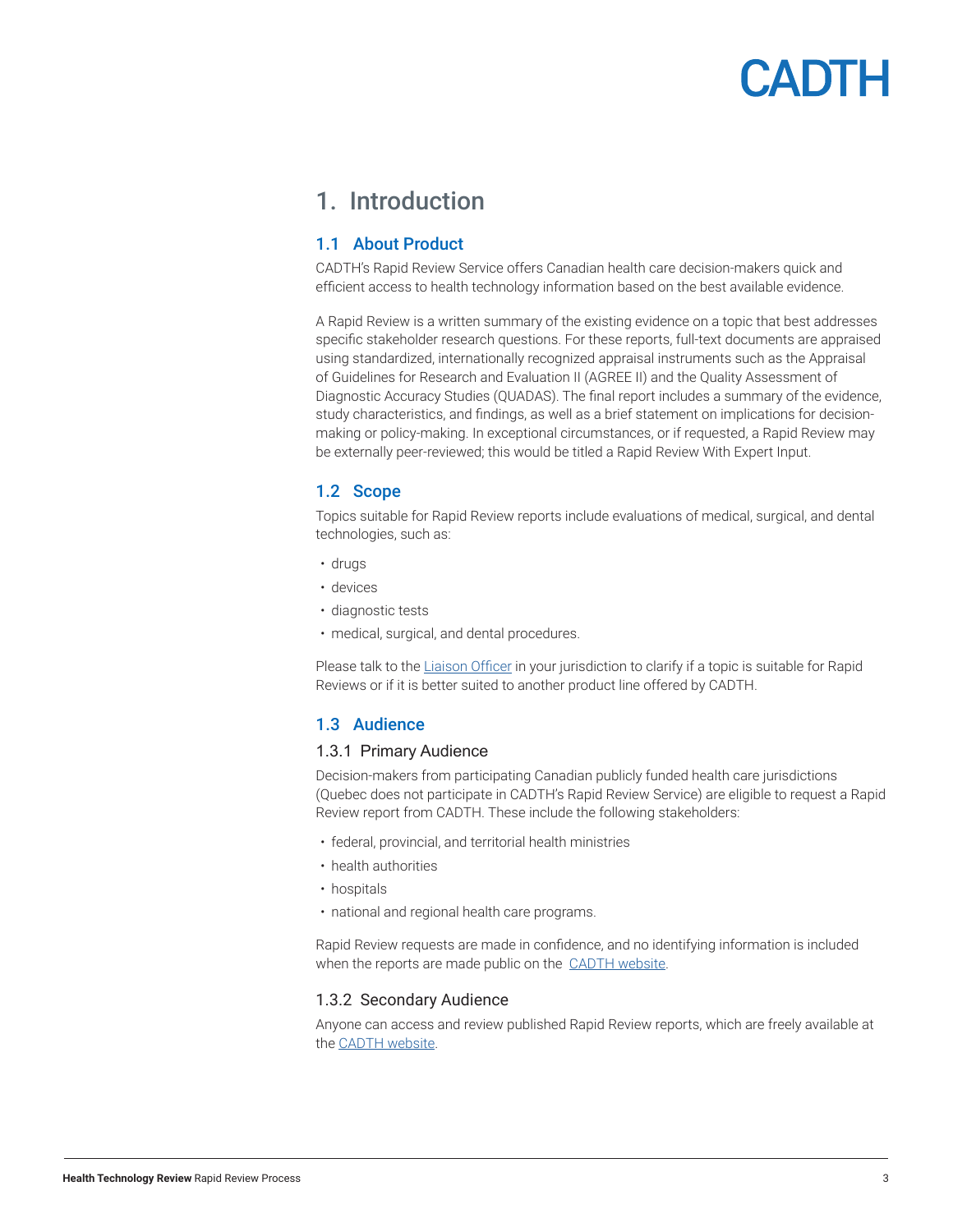# CADTH

### <span id="page-2-0"></span>1. Introduction

#### 1.1 About Product

CADTH's Rapid Review Service offers Canadian health care decision-makers quick and efficient access to health technology information based on the best available evidence.

A Rapid Review is a written summary of the existing evidence on a topic that best addresses specific stakeholder research questions. For these reports, full-text documents are appraised using standardized, internationally recognized appraisal instruments such as the Appraisal of Guidelines for Research and Evaluation II (AGREE II) and the Quality Assessment of Diagnostic Accuracy Studies (QUADAS). The final report includes a summary of the evidence, study characteristics, and findings, as well as a brief statement on implications for decisionmaking or policy-making. In exceptional circumstances, or if requested, a Rapid Review may be externally peer-reviewed; this would be titled a Rapid Review With Expert Input.

#### 1.2 Scope

Topics suitable for Rapid Review reports include evaluations of medical, surgical, and dental technologies, such as:

- drugs
- devices
- diagnostic tests
- medical, surgical, and dental procedures.

Please talk to the [Liaison Officer](https://www.cadth.ca/implementation-support-and-liaison-officers) in your jurisdiction to clarify if a topic is suitable for Rapid Reviews or if it is better suited to another product line offered by CADTH.

#### 1.3 Audience

#### 1.3.1 Primary Audience

Decision-makers from participating Canadian publicly funded health care jurisdictions (Quebec does not participate in CADTH's Rapid Review Service) are eligible to request a Rapid Review report from CADTH. These include the following stakeholders:

- federal, provincial, and territorial health ministries
- health authorities
- hospitals
- national and regional health care programs.

Rapid Review requests are made in confidence, and no identifying information is included when the reports are made public on the [CADTH website.](http://www.cadth.ca)

#### 1.3.2 Secondary Audience

Anyone can access and review published Rapid Review reports, which are freely available at the [CADTH website](http://www.cadth.ca).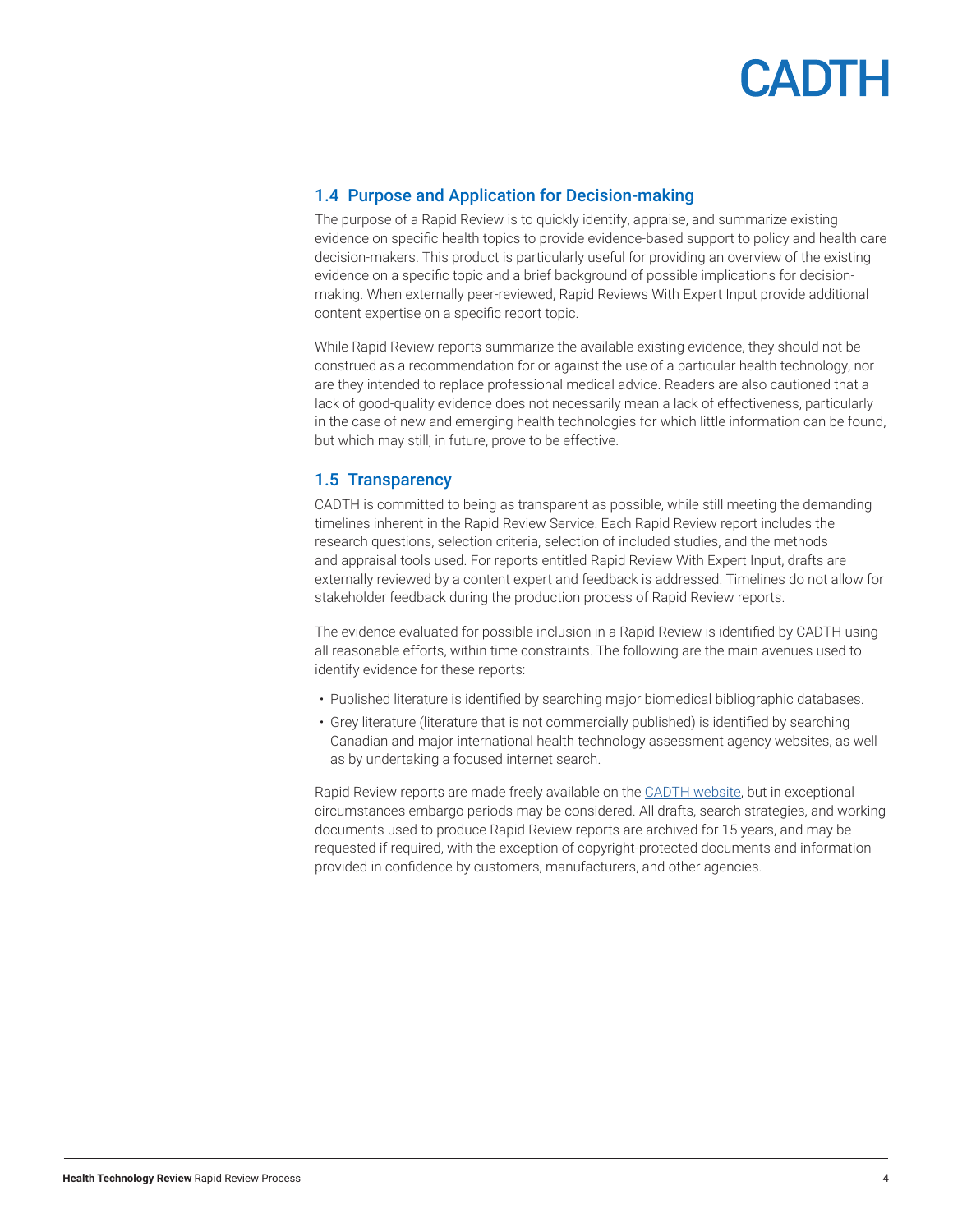

#### <span id="page-3-0"></span>1.4 Purpose and Application for Decision-making

The purpose of a Rapid Review is to quickly identify, appraise, and summarize existing evidence on specific health topics to provide evidence-based support to policy and health care decision-makers. This product is particularly useful for providing an overview of the existing evidence on a specific topic and a brief background of possible implications for decisionmaking. When externally peer-reviewed, Rapid Reviews With Expert Input provide additional content expertise on a specific report topic.

While Rapid Review reports summarize the available existing evidence, they should not be construed as a recommendation for or against the use of a particular health technology, nor are they intended to replace professional medical advice. Readers are also cautioned that a lack of good-quality evidence does not necessarily mean a lack of effectiveness, particularly in the case of new and emerging health technologies for which little information can be found, but which may still, in future, prove to be effective.

#### 1.5 Transparency

CADTH is committed to being as transparent as possible, while still meeting the demanding timelines inherent in the Rapid Review Service. Each Rapid Review report includes the research questions, selection criteria, selection of included studies, and the methods and appraisal tools used. For reports entitled Rapid Review With Expert Input, drafts are externally reviewed by a content expert and feedback is addressed. Timelines do not allow for stakeholder feedback during the production process of Rapid Review reports.

The evidence evaluated for possible inclusion in a Rapid Review is identified by CADTH using all reasonable efforts, within time constraints. The following are the main avenues used to identify evidence for these reports:

- Published literature is identified by searching major biomedical bibliographic databases.
- Grey literature (literature that is not commercially published) is identified by searching Canadian and major international health technology assessment agency websites, as well as by undertaking a focused internet search.

Rapid Review reports are made freely available on the [CADTH website](http://www.cadth.ca), but in exceptional circumstances embargo periods may be considered. All drafts, search strategies, and working documents used to produce Rapid Review reports are archived for 15 years, and may be requested if required, with the exception of copyright-protected documents and information provided in confidence by customers, manufacturers, and other agencies.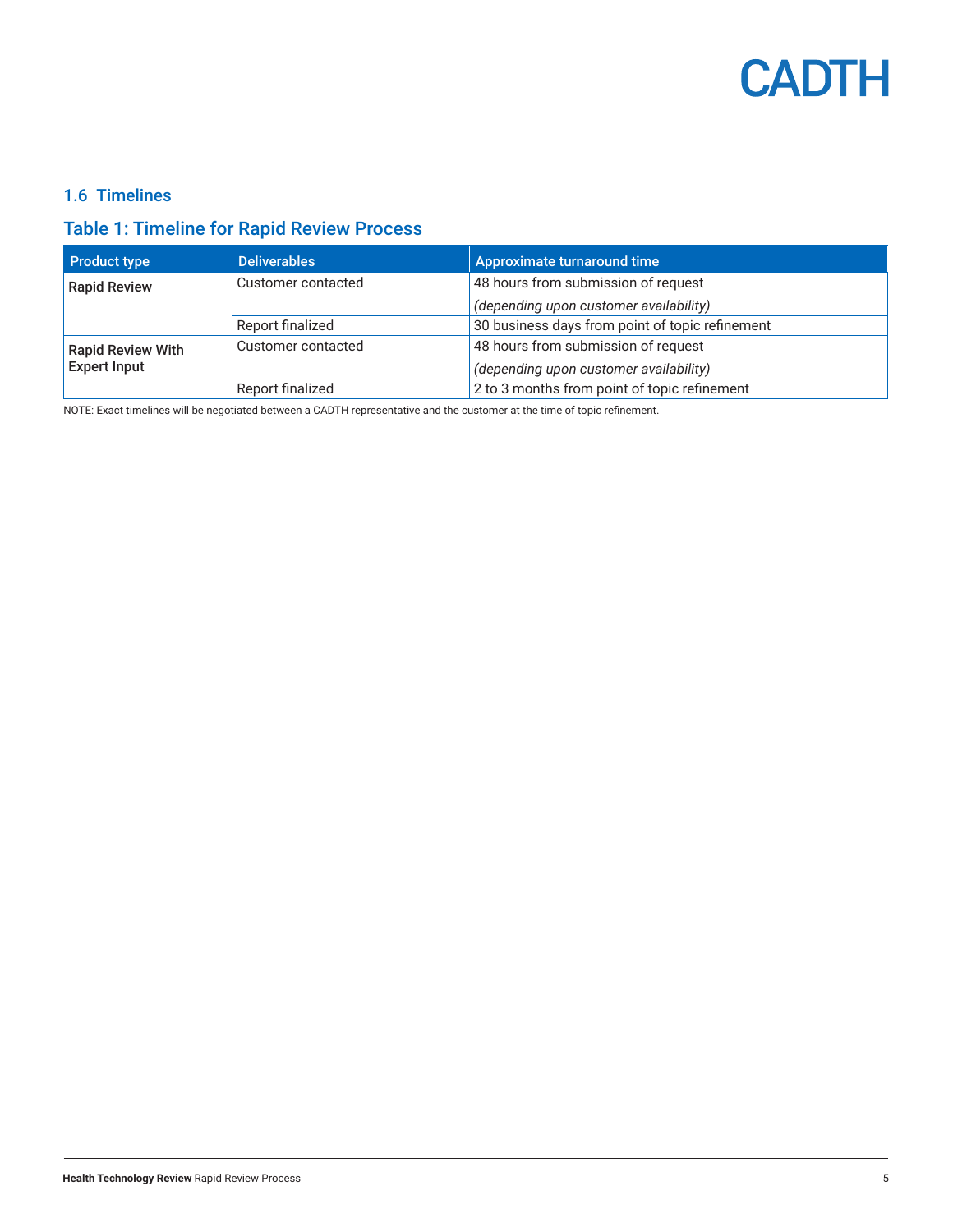

#### <span id="page-4-0"></span>1.6 Timelines

#### Table 1: Timeline for Rapid Review Process

| <b>Product type</b>      | <b>Deliverables</b> | Approximate turnaround time                     |  |
|--------------------------|---------------------|-------------------------------------------------|--|
| <b>Rapid Review</b>      | Customer contacted  | 48 hours from submission of request             |  |
|                          |                     | (depending upon customer availability)          |  |
|                          | Report finalized    | 30 business days from point of topic refinement |  |
| <b>Rapid Review With</b> | Customer contacted  | 48 hours from submission of request             |  |
| <b>Expert Input</b>      |                     | (depending upon customer availability)          |  |
|                          | Report finalized    | 2 to 3 months from point of topic refinement    |  |

NOTE: Exact timelines will be negotiated between a CADTH representative and the customer at the time of topic refinement.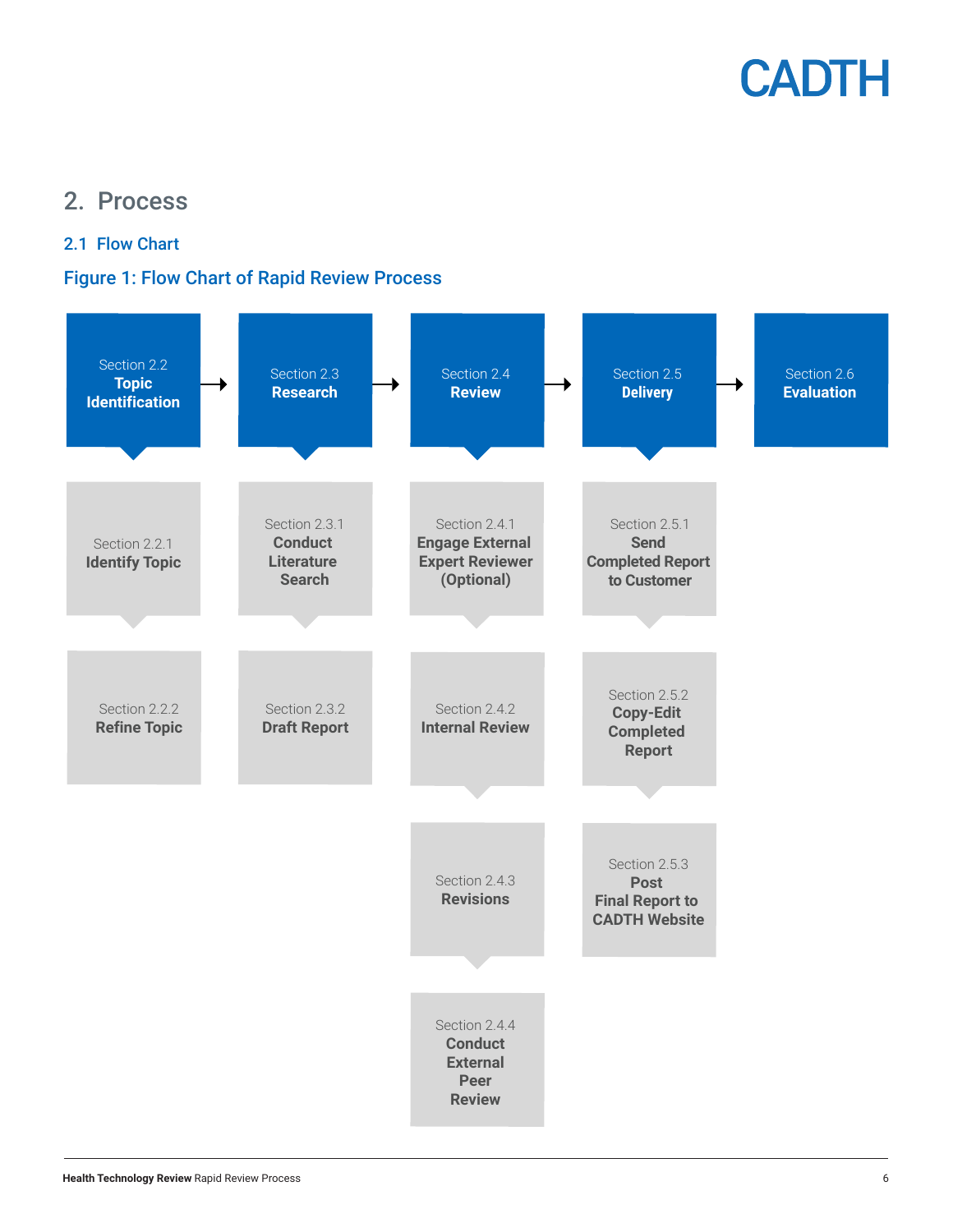

### <span id="page-5-0"></span>2. Process

#### 2.1 Flow Chart

#### Figure 1: Flow Chart of Rapid Review Process

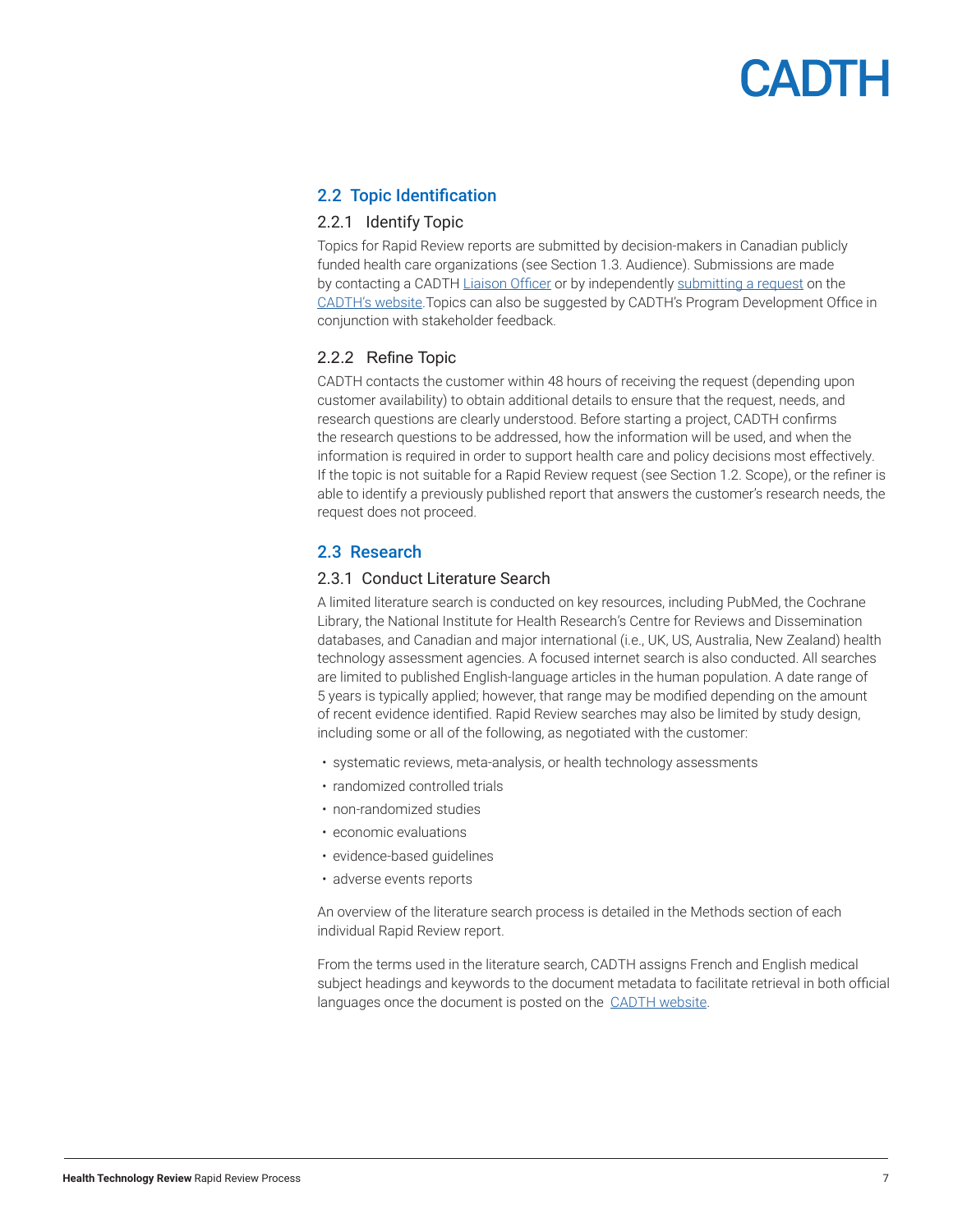# CADTH

#### <span id="page-6-0"></span>2.2 Topic Identification

#### 2.2.1 Identify Topic

Topics for Rapid Review reports are submitted by decision-makers in Canadian publicly funded health care organizations (see Section 1.3. Audience). Submissions are made by contacting a CADTH [Liaison Officer](https://www.cadth.ca/implementation-support-and-liaison-officers) or by independently [submitting a request](https://www.cadth.ca/submit-request) on the [CADTH's website](http://www.cadth.ca).Topics can also be suggested by CADTH's Program Development Office in conjunction with stakeholder feedback.

#### 2.2.2 Refine Topic

CADTH contacts the customer within 48 hours of receiving the request (depending upon customer availability) to obtain additional details to ensure that the request, needs, and research questions are clearly understood. Before starting a project, CADTH confirms the research questions to be addressed, how the information will be used, and when the information is required in order to support health care and policy decisions most effectively. If the topic is not suitable for a Rapid Review request (see Section 1.2. Scope), or the refiner is able to identify a previously published report that answers the customer's research needs, the request does not proceed.

#### 2.3 Research

#### 2.3.1 Conduct Literature Search

A limited literature search is conducted on key resources, including PubMed, the Cochrane Library, the National Institute for Health Research's Centre for Reviews and Dissemination databases, and Canadian and major international (i.e., UK, US, Australia, New Zealand) health technology assessment agencies. A focused internet search is also conducted. All searches are limited to published English-language articles in the human population. A date range of 5 years is typically applied; however, that range may be modified depending on the amount of recent evidence identified. Rapid Review searches may also be limited by study design, including some or all of the following, as negotiated with the customer:

- systematic reviews, meta-analysis, or health technology assessments
- randomized controlled trials
- non-randomized studies
- economic evaluations
- evidence-based guidelines
- adverse events reports

An overview of the literature search process is detailed in the Methods section of each individual Rapid Review report.

From the terms used in the literature search, CADTH assigns French and English medical subject headings and keywords to the document metadata to facilitate retrieval in both official languages once the document is posted on the [CADTH website](http://www.cadth.ca).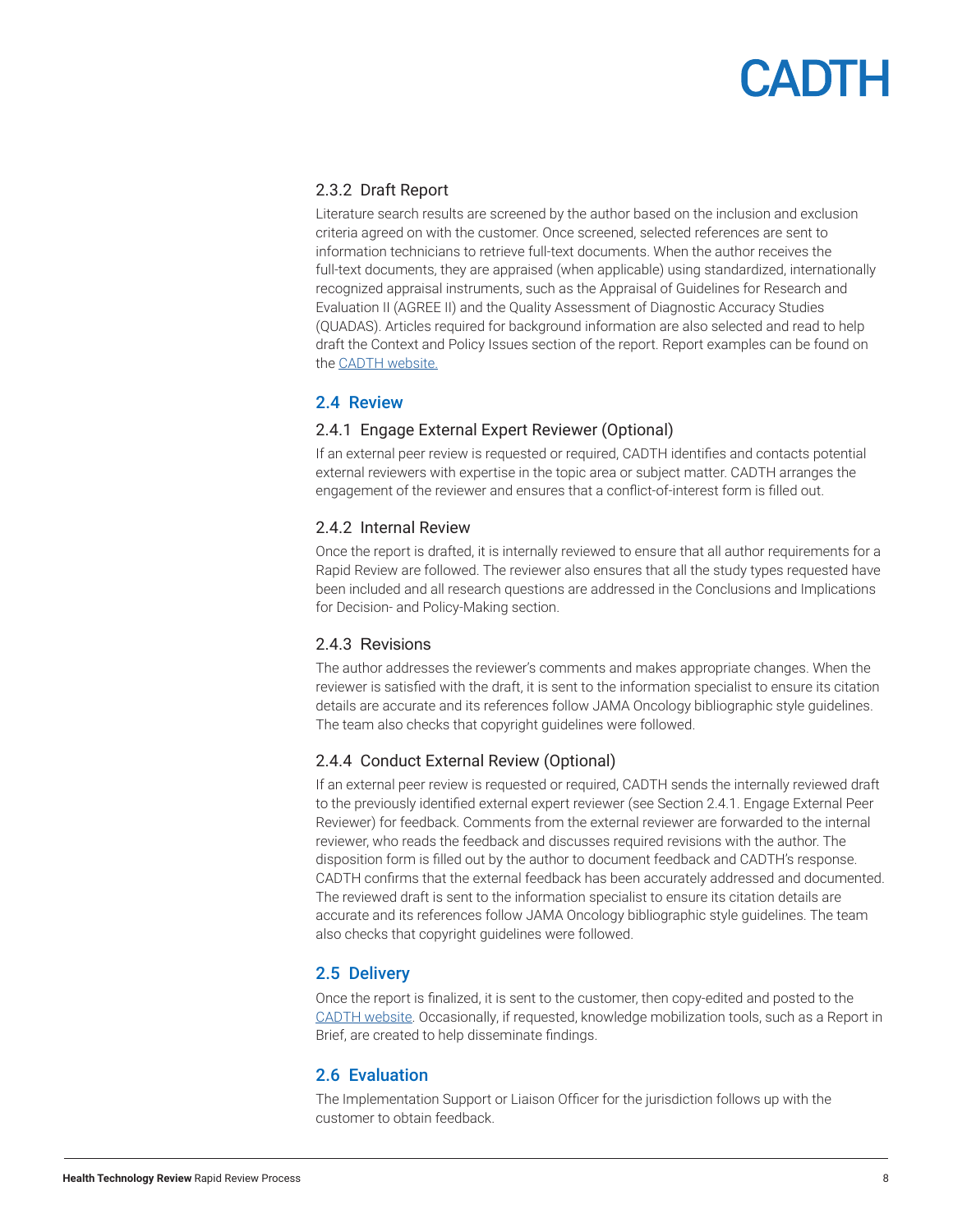# **CADTH**

#### <span id="page-7-0"></span>2.3.2 Draft Report

Literature search results are screened by the author based on the inclusion and exclusion criteria agreed on with the customer. Once screened, selected references are sent to information technicians to retrieve full-text documents. When the author receives the full-text documents, they are appraised (when applicable) using standardized, internationally recognized appraisal instruments, such as the Appraisal of Guidelines for Research and Evaluation II (AGREE II) and the Quality Assessment of Diagnostic Accuracy Studies (QUADAS). Articles required for background information are also selected and read to help draft the Context and Policy Issues section of the report. Report examples can be found on the [CADTH website](http://www.cadth.ca).

#### 2.4 Review

#### 2.4.1 Engage External Expert Reviewer (Optional)

If an external peer review is requested or required, CADTH identifies and contacts potential external reviewers with expertise in the topic area or subject matter. CADTH arranges the engagement of the reviewer and ensures that a conflict-of-interest form is filled out.

#### 2.4.2 Internal Review

Once the report is drafted, it is internally reviewed to ensure that all author requirements for a Rapid Review are followed. The reviewer also ensures that all the study types requested have been included and all research questions are addressed in the Conclusions and Implications for Decision- and Policy-Making section.

#### 2.4.3 Revisions

The author addresses the reviewer's comments and makes appropriate changes. When the reviewer is satisfied with the draft, it is sent to the information specialist to ensure its citation details are accurate and its references follow JAMA Oncology bibliographic style guidelines. The team also checks that copyright guidelines were followed.

#### 2.4.4 Conduct External Review (Optional)

If an external peer review is requested or required, CADTH sends the internally reviewed draft to the previously identified external expert reviewer (see Section 2.4.1. Engage External Peer Reviewer) for feedback. Comments from the external reviewer are forwarded to the internal reviewer, who reads the feedback and discusses required revisions with the author. The disposition form is filled out by the author to document feedback and CADTH's response. CADTH confirms that the external feedback has been accurately addressed and documented. The reviewed draft is sent to the information specialist to ensure its citation details are accurate and its references follow JAMA Oncology bibliographic style guidelines. The team also checks that copyright guidelines were followed.

#### 2.5 Delivery

Once the report is finalized, it is sent to the customer, then copy-edited and posted to the [CADTH website.](http://www.cadth.ca) Occasionally, if requested, knowledge mobilization tools, such as a Report in Brief, are created to help disseminate findings.

#### 2.6 Evaluation

The Implementation Support or Liaison Officer for the jurisdiction follows up with the customer to obtain feedback.